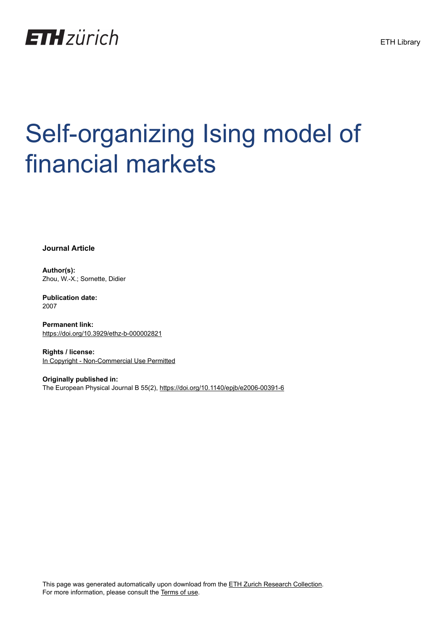

# Self-organizing Ising model of financial markets

**Journal Article**

**Author(s):** Zhou, W.-X.; Sornette, Didier

**Publication date:** 2007

**Permanent link:** <https://doi.org/10.3929/ethz-b-000002821>

**Rights / license:** [In Copyright - Non-Commercial Use Permitted](http://rightsstatements.org/page/InC-NC/1.0/)

**Originally published in:** The European Physical Journal B 55(2),<https://doi.org/10.1140/epjb/e2006-00391-6>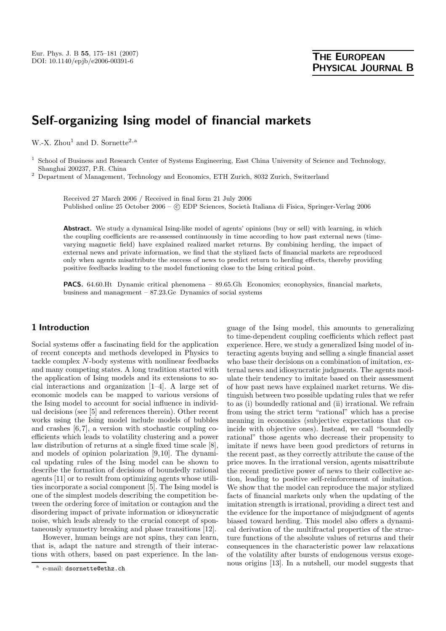# **Self-organizing Ising model of financial markets**

W.-X. Zhou<sup>1</sup> and D. Sornette<sup>2,a</sup>

 $1$  School of Business and Research Center of Systems Engineering, East China University of Science and Technology, Shanghai 200237, P.R. China

<sup>2</sup> Department of Management, Technology and Economics, ETH Zurich, 8032 Zurich, Switzerland

Received 27 March 2006 / Received in final form 21 July 2006 Published online 25 October 2006 – © EDP Sciences, Società Italiana di Fisica, Springer-Verlag 2006

**Abstract.** We study a dynamical Ising-like model of agents' opinions (buy or sell) with learning, in which the coupling coefficients are re-assessed continuously in time according to how past external news (timevarying magnetic field) have explained realized market returns. By combining herding, the impact of external news and private information, we find that the stylized facts of financial markets are reproduced only when agents misattribute the success of news to predict return to herding effects, thereby providing positive feedbacks leading to the model functioning close to the Ising critical point.

**PACS.** 64.60.Ht Dynamic critical phenomena – 89.65.Gh Economics; econophysics, financial markets, business and management  $-87.23$ . Ge Dynamics of social systems

# **1 Introduction**

Social systems offer a fascinating field for the application of recent concepts and methods developed in Physics to tackle complex N-body systems with nonlinear feedbacks and many competing states. A long tradition started with the application of Ising models and its extensions to social interactions and organization [1–4]. A large set of economic models can be mapped to various versions of the Ising model to account for social influence in individual decisions (see [5] and references therein). Other recent works using the Ising model include models of bubbles and crashes [6,7], a version with stochastic coupling coefficients which leads to volatility clustering and a power law distribution of returns at a single fixed time scale [8], and models of opinion polarization [9,10]. The dynamical updating rules of the Ising model can be shown to describe the formation of decisions of boundedly rational agents [11] or to result from optimizing agents whose utilities incorporate a social component [5]. The Ising model is one of the simplest models describing the competition between the ordering force of imitation or contagion and the disordering impact of private information or idiosyncratic noise, which leads already to the crucial concept of spontaneously symmetry breaking and phase transitions [12].

However, human beings are not spins, they can learn, that is, adapt the nature and strength of their interactions with others, based on past experience. In the language of the Ising model, this amounts to generalizing to time-dependent coupling coefficients which reflect past experience. Here, we study a generalized Ising model of interacting agents buying and selling a single financial asset who base their decisions on a combination of imitation, external news and idiosyncratic judgments. The agents modulate their tendency to imitate based on their assessment of how past news have explained market returns. We distinguish between two possible updating rules that we refer to as (i) boundedly rational and (ii) irrational. We refrain from using the strict term "rational" which has a precise meaning in economics (subjective expectations that coincide with objective ones). Instead, we call "boundedly rational" those agents who decrease their propensity to imitate if news have been good predictors of returns in the recent past, as they correctly attribute the cause of the price moves. In the irrational version, agents misattribute the recent predictive power of news to their collective action, leading to positive self-reinforcement of imitation. We show that the model can reproduce the major stylized facts of financial markets only when the updating of the imitation strength is irrational, providing a direct test and the evidence for the importance of misjudgment of agents biased toward herding. This model also offers a dynamical derivation of the multifractal properties of the structure functions of the absolute values of returns and their consequences in the characteristic power law relaxations of the volatility after bursts of endogenous versus exogenous origins [13]. In a nutshell, our model suggests that

e-mail: dsornette@ethz.ch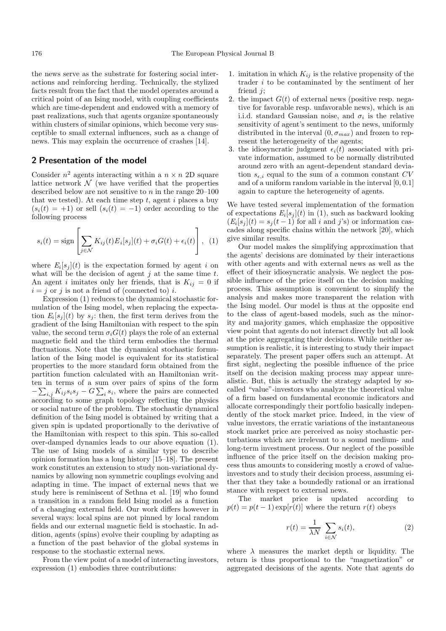the news serve as the substrate for fostering social interactions and reinforcing herding. Technically, the stylized facts result from the fact that the model operates around a critical point of an Ising model, with coupling coefficients which are time-dependent and endowed with a memory of past realizations, such that agents organize spontaneously within clusters of similar opinions, which become very susceptible to small external influences, such as a change of news. This may explain the occurrence of crashes [14].

### **2 Presentation of the model**

Consider  $n^2$  agents interacting within a  $n \times n$  2D square lattice network  $\mathcal N$  (we have verified that the properties described below are not sensitive to  $n$  in the range  $20-100$ that we tested). At each time step  $t$ , agent  $i$  places a buy  $(s_i(t) = +1)$  or sell  $(s_i(t) = -1)$  order according to the following process

$$
s_i(t) = \text{sign}\left[\sum_{j \in \mathcal{N}} K_{ij}(t) E_i[s_j](t) + \sigma_i G(t) + \epsilon_i(t)\right], \tag{1}
$$

where  $E_i[s_j](t)$  is the expectation formed by agent i on what will be the decision of agent  $j$  at the same time  $t$ . An agent i imitates only her friends, that is  $K_{ij} = 0$  if  $i = j$  or j is not a friend of (connected to) i.

Expression (1) reduces to the dynamical stochastic formulation of the Ising model, when replacing the expectation  $E_i[s_j](t)$  by  $s_j$ : then, the first term derives from the gradient of the Ising Hamiltonian with respect to the spin value, the second term  $\sigma_iG(t)$  plays the role of an external magnetic field and the third term embodies the thermal fluctuations. Note that the dynamical stochastic formulation of the Ising model is equivalent for its statistical properties to the more standard form obtained from the partition function calculated with an Hamiltonian written in terms of a sum over pairs of spins of the form  $-\sum_{i,j} K_{ij} s_i s_j - G \sum_i s_i$ , where the pairs are connected according to some graph topology reflecting the physics or social nature of the problem. The stochastic dynamical definition of the Ising model is obtained by writing that a given spin is updated proportionally to the derivative of the Hamiltonian with respect to this spin. This so-called over-damped dynamics leads to our above equation (1). The use of Ising models of a similar type to describe opinion formation has a long history [15–18]. The present work constitutes an extension to study non-variational dynamics by allowing non symmetric couplings evolving and adapting in time. The impact of external news that we study here is reminiscent of Sethna et al. [19] who found a transition in a random field Ising model as a function of a changing external field. Our work differs however in several ways: local spins are not pinned by local random fields and our external magnetic field is stochastic. In addition, agents (spins) evolve their coupling by adapting as a function of the past behavior of the global systems in response to the stochastic external news.

From the view point of a model of interacting investors, expression (1) embodies three contributions:

- 1. imitation in which  $K_{ij}$  is the relative propensity of the trader i to be contaminated by the sentiment of her friend  $i$ ;
- 2. the impact  $G(t)$  of external news (positive resp. negative for favorable resp. unfavorable news), which is an i.i.d. standard Gaussian noise, and  $\sigma_i$  is the relative sensitivity of agent's sentiment to the news, uniformly distributed in the interval  $(0, \sigma_{max})$  and frozen to represent the heterogeneity of the agents;
- 3. the idiosyncratic judgment  $\epsilon_i(t)$  associated with private information, assumed to be normally distributed around zero with an agent-dependent standard deviation  $s_{\epsilon,i}$  equal to the sum of a common constant CV and of a uniform random variable in the interval [0, 0.1] again to capture the heterogeneity of agents.

We have tested several implementation of the formation of expectations  $E_i[s_j](t)$  in (1), such as backward looking  $(E_i[s_j](t) = s_j(t-1)$  for all i and j's) or information cascades along specific chains within the network [20], which give similar results.

Our model makes the simplifying approximation that the agents' decisions are dominated by their interactions with other agents and with external news as well as the effect of their idiosyncratic analysis. We neglect the possible influence of the price itself on the decision making process. This assumption is convenient to simplify the analysis and makes more transparent the relation with the Ising model. Our model is thus at the opposite end to the class of agent-based models, such as the minority and majority games, which emphasize the oppositive view point that agents do not interact directly but all look at the price aggregating their decisions. While neither assumption is realistic, it is interesting to study their impact separately. The present paper offers such an attempt. At first sight, neglecting the possible influence of the price itself on the decision making process may appear unrealistic. But, this is actually the strategy adapted by socalled "value"-investors who analyze the theoretical value of a firm based on fundamental economic indicators and allocate correspondingly their portfolio basically independently of the stock market price. Indeed, in the view of value investors, the erratic variations of the instantaneous stock market price are perceived as noisy stochastic perturbations which are irrelevant to a sound medium- and long-term investment process. Our neglect of the possible influence of the price itself on the decision making process thus amounts to considering mostly a crowd of valueinvestors and to study their decision process, assuming either that they take a boundedly rational or an irrational stance with respect to external news.

The market price is updated according to  $p(t) = p(t-1) \exp[r(t)]$  where the return  $r(t)$  obeys

$$
r(t) = \frac{1}{\lambda N} \sum_{i \in \mathcal{N}} s_i(t), \tag{2}
$$

where  $\lambda$  measures the market depth or liquidity. The return is thus proportional to the "magnetization" or aggregated decisions of the agents. Note that agents do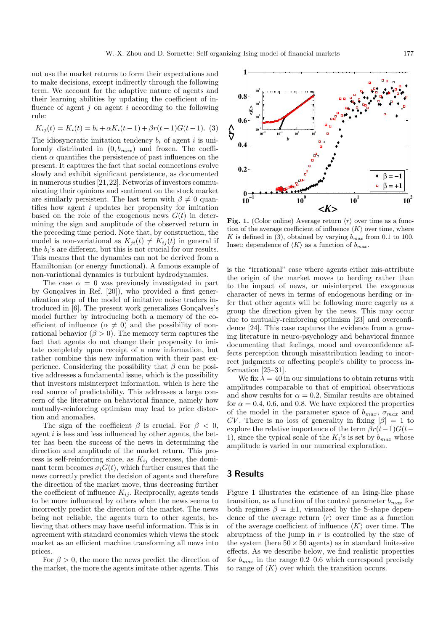not use the market returns to form their expectations and to make decisions, except indirectly through the following term. We account for the adaptive nature of agents and their learning abilities by updating the coefficient of influence of agent  $j$  on agent  $i$  according to the following rule:

$$
K_{ij}(t) = K_i(t) = b_i + \alpha K_i(t-1) + \beta r(t-1)G(t-1). \tag{3}
$$

The idiosyncratic imitation tendency  $b_i$  of agent i is uniformly distributed in  $(0, b_{max})$  and frozen. The coefficient  $\alpha$  quantifies the persistence of past influences on the present. It captures the fact that social connections evolve slowly and exhibit significant persistence, as documented in numerous studies [21,22]. Networks of investors communicating their opinions and sentiment on the stock market are similarly persistent. The last term with  $\beta \neq 0$  quantifies how agent  $i$  updates her propensity for imitation based on the role of the exogenous news  $G(t)$  in determining the sign and amplitude of the observed return in the preceding time period. Note that, by construction, the model is non-variational as  $K_{ii}(t) \neq K_{ij}(t)$  in general if the  $b_i$ 's are different, but this is not crucial for our results. This means that the dynamics can not be derived from a Hamiltonian (or energy functional). A famous example of non-variational dynamics is turbulent hydrodynamics.

The case  $\alpha = 0$  was previously investigated in part by Gonçalves in Ref.  $[20]$ , who provided a first generalization step of the model of imitative noise traders introduced in [6]. The present work generalizes Goncalves's model further by introducing both a memory of the coefficient of influence  $(\alpha \neq 0)$  and the possibility of nonrational behavior ( $\beta > 0$ ). The memory term captures the fact that agents do not change their propensity to imitate completely upon receipt of a new information, but rather combine this new information with their past experience. Considering the possibility that  $\beta$  can be positive addresses a fundamental issue, which is the possibility that investors misinterpret information, which is here the real source of predictability. This addresses a large concern of the literature on behavioral finance, namely how mutually-reinforcing optimism may lead to price distortion and anomalies.

The sign of the coefficient  $\beta$  is crucial. For  $\beta < 0$ , agent  $i$  is less and less influenced by other agents, the better has been the success of the news in determining the direction and amplitude of the market return. This process is self-reinforcing since, as  $K_{ij}$  decreases, the dominant term becomes  $\sigma_i G(t)$ , which further ensures that the news correctly predict the decision of agents and therefore the direction of the market move, thus decreasing further the coefficient of influence  $K_{ij}$ . Reciprocally, agents tends to be more influenced by others when the news seems to incorrectly predict the direction of the market. The news being not reliable, the agents turn to other agents, believing that others may have useful information. This is in agreement with standard economics which views the stock market as an efficient machine transforming all news into prices.

For  $\beta > 0$ , the more the news predict the direction of the market, the more the agents imitate other agents. This



**Fig. 1.** (Color online) Average return  $\langle r \rangle$  over time as a function of the average coefficient of influence  $\langle K \rangle$  over time, where tion of the average coefficient of influence  $\langle K \rangle$  over time, where K is defined in (3), obtained by varying  $b_{max}$  from 0.1 to 100. Inset: dependence of  $\langle K \rangle$  as a function of  $b_{max}$ .

is the "irrational" case where agents either mis-attribute the origin of the market moves to herding rather than to the impact of news, or misinterpret the exogenous character of news in terms of endogenous herding or infer that other agents will be following more eagerly as a group the direction given by the news. This may occur due to mutually-reinforcing optimism [23] and overconfidence [24]. This case captures the evidence from a growing literature in neuro-psychology and behavioral finance documenting that feelings, mood and overconfidence affects perception through misattribution leading to incorrect judgments or affecting people's ability to process information [25–31].

We fix  $\lambda = 40$  in our simulations to obtain returns with amplitudes comparable to that of empirical observations and show results for  $\alpha = 0.2$ . Similar results are obtained for  $\alpha = 0.4, 0.6,$  and 0.8. We have explored the properties of the model in the parameter space of  $b_{max}$ ,  $\sigma_{max}$  and CV. There is no loss of generality in fixing  $|\beta| = 1$  to explore the relative importance of the term  $\beta r(t-1)G(t-$ 1), since the typical scale of the  $K_i$ 's is set by  $b_{max}$  whose amplitude is varied in our numerical exploration.

#### **3 Results**

Figure 1 illustrates the existence of an Ising-like phase transition, as a function of the control parameter b*max* for both regimes  $\beta = \pm 1$ , visualized by the S-shape dependence of the average return  $\langle r \rangle$  over time as a function of the average coefficient of influence  $\langle K \rangle$  over time. The abruptness of the jump in  $r$  is controlled by the size of the system (here  $50 \times 50$  agents) as in standard finite-size effects. As we describe below, we find realistic properties for  $b_{max}$  in the range 0.2–0.6 which correspond precisely to range of  $\langle K \rangle$  over which the transition occurs.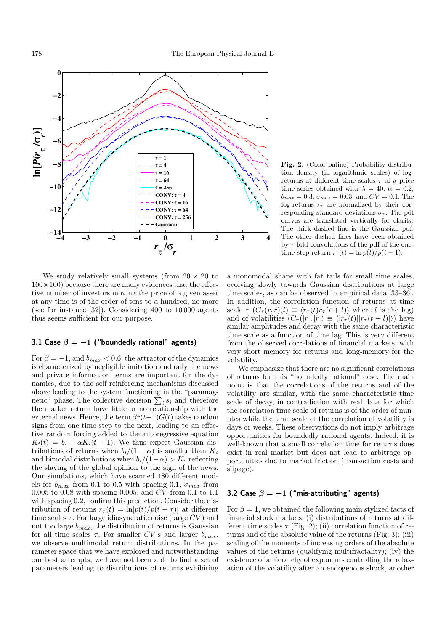

**Fig. 2.** (Color online) Probability distribution density (in logarithmic scales) of logreturns at different time scales  $\tau$  of a price time series obtained with  $\lambda = 40, \ \alpha = 0.2,$  $b_{max} = 0.3, \sigma_{max} = 0.03, \text{ and } CV = 0.1.$  The log-returns  $r_{\tau}$  are normalized by their corresponding standard deviations  $\sigma_{\tau}$ . The pdf curves are translated vertically for clarity. The thick dashed line is the Gaussian pdf. The other dashed lines have been obtained by  $\tau$ -fold convolutions of the pdf of the onetime step return  $r_1(t) = \ln p(t)/p(t-1)$ .

We study relatively small systems (from  $20 \times 20$  to  $100\times100$ ) because there are many evidences that the effective number of investors moving the price of a given asset at any time is of the order of tens to a hundred, no more (see for instance [32]). Considering 400 to 10 000 agents thus seems sufficient for our purpose.

#### **3.1 Case**  $\beta = -1$  ("boundedly rational" agents)

For  $\beta = -1$ , and  $b_{max} < 0.6$ , the attractor of the dynamics is characterized by negligible imitation and only the news and private information terms are important for the dynamics, due to the self-reinforcing mechanisms discussed above leading to the system functioning in the "paramagnetic" phase. The collective decision  $\sum_i s_i$  and therefore the market return have little or no relationship with the external news. Hence, the term  $\beta r(t+1)G(t)$  takes random signs from one time step to the next, leading to an effective random forcing added to the autoregressive equation  $K_i(t) = b_i + \alpha K_i(t-1)$ . We thus expect Gaussian distributions of returns when  $b_i/(1-\alpha)$  is smaller than  $K_c$ and bimodal distributions when  $b_i/(1-\alpha) > K_c$  reflecting the slaving of the global opinion to the sign of the news. Our simulations, which have scanned 480 different models for  $b_{max}$  from 0.1 to 0.5 with spacing 0.1,  $\sigma_{max}$  from 0.005 to 0.08 with spacing 0.005, and CV from 0.1 to 1.1 with spacing 0.2, confirm this prediction. Consider the distribution of returns  $r_{\tau}(t) = \ln[p(t)/p(t-\tau)]$  at different time scales  $\tau$ . For large idiosyncratic noise (large  $CV$ ) and not too large  $b_{max}$ , the distribution of returns is Gaussian for all time scales  $\tau$ . For smaller CV's and larger  $b_{max}$ , we observe multimodal return distributions. In the parameter space that we have explored and notwithstanding our best attempts, we have not been able to find a set of parameters leading to distributions of returns exhibiting

a monomodal shape with fat tails for small time scales, evolving slowly towards Gaussian distributions at large time scales, as can be observed in empirical data [33–36]. In addition, the correlation function of returns at time scale  $\tau$   $(C_{\tau}(r,r)(l) \equiv \langle r_{\tau}(t)r_{\tau}(t+l) \rangle$  where l is the lag) and of volatilities  $(C_{\tau}(|r|, |r|) \equiv \langle |r_{\tau}(t)||r_{\tau}(t + l)| \rangle)$  have similar amplitudes and decay with the same characteristic time scale as a function of time lag. This is very different from the observed correlations of financial markets, with very short memory for returns and long-memory for the volatility.

We emphasize that there are no significant correlations of returns for this "boundedly rational" case. The main point is that the correlations of the returns and of the volatility are similar, with the same characteristic time scale of decay, in contradiction with real data for which the correlation time scale of returns is of the order of minutes while the time scale of the correlation of volatility is days or weeks. These observations do not imply arbitrage opportunities for boundedly rational agents. Indeed, it is well-known that a small correlation time for returns does exist in real market but does not lead to arbitrage opportunities due to market friction (transaction costs and slipage).

#### **3.2 Case**  $\beta = +1$  ("mis-attributing" agents)

For  $\beta = 1$ , we obtained the following main stylized facts of financial stock markets: (i) distributions of returns at different time scales  $\tau$  (Fig. 2); (ii) correlation function of returns and of the absolute value of the returns (Fig. 3); (iii) scaling of the moments of increasing orders of the absolute values of the returns (qualifying multifractality); (iv) the existence of a hierarchy of exponents controlling the relaxation of the volatility after an endogenous shock, another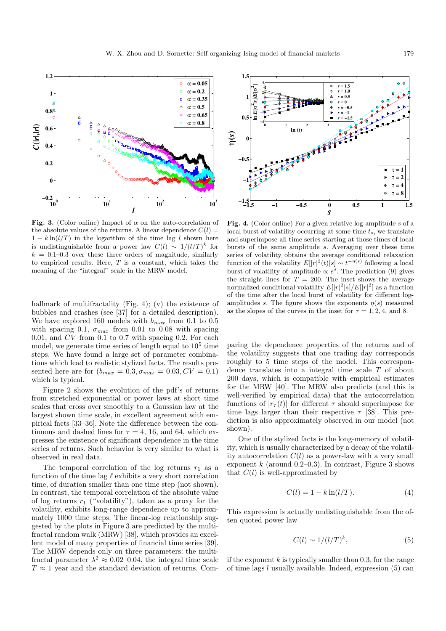

**Fig. 3.** (Color online) Impact of  $\alpha$  on the auto-correlation of the absolute values of the returns. A linear dependence  $C(l)$  =  $1 - k \ln(l/T)$  in the logarithm of the time lag l shown here is undistinguishable from a power law  $C(l) \sim 1/(l/T)^k$  for  $k = 0.1{\text{-}}0.3$  over these three orders of magnitude, similarly to empirical results. Here,  $T$  is a constant, which takes the meaning of the "integral" scale in the MRW model.

hallmark of multifractality (Fig. 4); (v) the existence of bubbles and crashes (see [37] for a detailed description). We have explored 160 models with b*max* from 0.1 to 0.5 with spacing 0.1,  $\sigma_{max}$  from 0.01 to 0.08 with spacing 0.01, and CV from 0.1 to 0.7 with spacing 0.2. For each model, we generate time series of length equal to  $10<sup>5</sup>$  time steps. We have found a large set of parameter combinations which lead to realistic stylized facts. The results presented here are for  $(b_{max} = 0.3, \sigma_{max} = 0.03, CV = 0.1)$ which is typical.

Figure 2 shows the evolution of the pdf's of returns from stretched exponential or power laws at short time scales that cross over smoothly to a Gaussian law at the largest shown time scale, in excellent agreement with empirical facts [33–36]. Note the difference between the continuous and dashed lines for  $\tau = 4$ , 16, and 64, which expresses the existence of significant dependence in the time series of returns. Such behavior is very similar to what is observed in real data.

The temporal correlation of the log returns  $r_1$  as a function of the time lag  $\ell$  exhibits a very short correlation time, of duration smaller than one time step (not shown). In contrast, the temporal correlation of the absolute value of log returns  $r_1$  ("volatility"), taken as a proxy for the volatility, exhibits long-range dependence up to approximately 1000 time steps. The linear-log relationship suggested by the plots in Figure 3 are predicted by the multifractal random walk (MRW) [38], which provides an excellent model of many properties of financial time series [39]. The MRW depends only on three parameters: the multifractal parameter  $\lambda^2 \approx 0.02{\text -}0.04$ , the integral time scale  $T \approx 1$  year and the standard deviation of returns. Com-



**Fig. 4.** (Color online) For a given relative log-amplitude <sup>s</sup> of a local burst of volatility occurring at some time  $t_s$ , we translate and superimpose all time series starting at those times of local bursts of the same amplitude s. Averaging over these time series of volatility obtains the average conditional relaxation function of the volatility  $E[|r|^2(t)|s] \sim t^{-\eta(s)}$  following a local burst of volatility of amplitude  $\propto e^{s}$ . The prediction (9) gives the straight lines for  $T = 200$ . The inset shows the average normalized conditional volatility  $E[|r|^2|s]/E[|r|^2]$  as a function of the time after the local burst of volatility for different logamplitudes s. The figure shows the exponents  $\eta(s)$  measured as the slopes of the curves in the inset for  $\tau = 1, 2, 4$ , and 8.

paring the dependence properties of the returns and of the volatility suggests that one trading day corresponds roughly to 5 time steps of the model. This correspondence translates into a integral time scale T of about 200 days, which is compatible with empirical estimates for the MRW [40]. The MRW also predicts (and this is well-verified by empirical data) that the autocorrelation functions of  $|r_{\tau}(t)|$  for different  $\tau$  should superimpose for time lags larger than their respective  $\tau$  [38]. This prediction is also approximately observed in our model (not shown).

One of the stylized facts is the long-memory of volatility, which is usually characterized by a decay of the volatility autocorrelation  $C(l)$  as a power-law with a very small exponent k (around  $0.2-0.3$ ). In contrast, Figure 3 shows that  $C(l)$  is well-approximated by

$$
C(l) = 1 - k \ln(l/T). \tag{4}
$$

This expression is actually undistinguishable from the often quoted power law

$$
C(l) \sim 1/(l/T)^k,\tag{5}
$$

if the exponent  $k$  is typically smaller than 0.3, for the range of time lags  $l$  usually available. Indeed, expression  $(5)$  can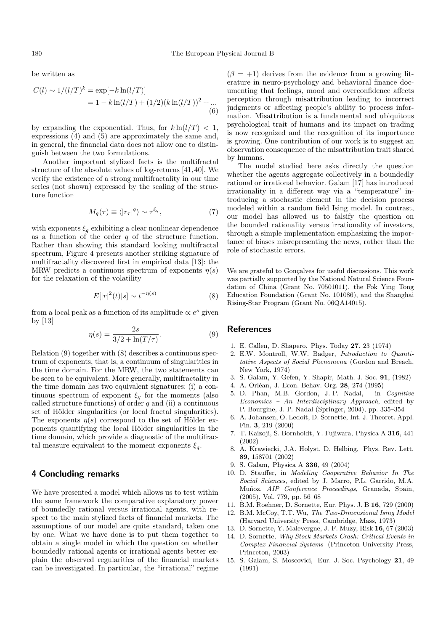be written as

$$
C(l) \sim 1/(l/T)^k = \exp[-k \ln(l/T)]
$$
  
= 1 - k \ln(l/T) + (1/2)(k \ln(l/T))^2 + ... (6)

by expanding the exponential. Thus, for  $k \ln(l/T) < 1$ , expressions (4) and (5) are approximately the same and, in general, the financial data does not allow one to distinguish between the two formulations.

Another important stylized facts is the multifractal structure of the absolute values of log-returns [41,40]. We verify the existence of a strong multifractality in our time series (not shown) expressed by the scaling of the structure function

$$
M_q(\tau) \equiv \langle |r_\tau|^q \rangle \sim \tau^{\xi_q},\tag{7}
$$

with exponents  $\xi_q$  exhibiting a clear nonlinear dependence as a function of the order  $q$  of the structure function. Rather than showing this standard looking multifractal spectrum, Figure 4 presents another striking signature of multifractality discovered first in empirical data [13]: the MRW predicts a continuous spectrum of exponents  $\eta(s)$ for the relaxation of the volatility

$$
E[|r|^2(t)|s] \sim t^{-\eta(s)}\tag{8}
$$

from a local peak as a function of its amplitude  $\propto e^s$  given by [13]

$$
\eta(s) = \frac{2s}{3/2 + \ln(T/\tau)}.
$$
\n(9)

Relation (9) together with (8) describes a continuous spectrum of exponents, that is, a continuum of singularities in the time domain. For the MRW, the two statements can be seen to be equivalent. More generally, multifractality in the time domain has two equivalent signatures: (i) a continuous spectrum of exponent  $\xi_a$  for the moments (also called structure functions) of order  $q$  and (ii) a continuous set of Hölder singularities (or local fractal singularities). The exponents  $\eta(s)$  correspond to the set of Hölder exponents quantifying the local Hölder singularities in the time domain, which provide a diagnostic of the multifractal measure equivalent to the moment exponents  $\xi_a$ .

# **4 Concluding remarks**

We have presented a model which allows us to test within the same framework the comparative explanatory power of boundedly rational versus irrational agents, with respect to the main stylized facts of financial markets. The assumptions of our model are quite standard, taken one by one. What we have done is to put them together to obtain a single model in which the question on whether boundedly rational agents or irrational agents better explain the observed regularities of the financial markets can be investigated. In particular, the "irrational" regime

 $(\beta = +1)$  derives from the evidence from a growing literature in neuro-psychology and behavioral finance documenting that feelings, mood and overconfidence affects perception through misattribution leading to incorrect judgments or affecting people's ability to process information. Misattribution is a fundamental and ubiquitous psychological trait of humans and its impact on trading is now recognized and the recognition of its importance is growing. One contribution of our work is to suggest an observation consequence of the misattribution trait shared by humans.

The model studied here asks directly the question whether the agents aggregate collectively in a boundedly rational or irrational behavior. Galam [17] has introduced irrationality in a different way via a "temperature" introducing a stochastic element in the decision process modeled within a random field Ising model. In contrast, our model has allowed us to falsify the question on the bounded rationality versus irrationality of investors, through a simple implementation emphasizing the importance of biases misrepresenting the news, rather than the role of stochastic errors.

We are grateful to Gonçalves for useful discussions. This work was partially supported by the National Natural Science Foundation of China (Grant No. 70501011), the Fok Ying Tong Education Foundation (Grant No. 101086), and the Shanghai Rising-Star Program (Grant No. 06QA14015).

#### **References**

- 1. E. Callen, D. Shapero, Phys. Today **27**, 23 (1974)
- 2. E.W. Montroll, W.W. Badger, *Introduction to Quantitative Aspects of Social Phenomena* (Gordon and Breach, New York, 1974)
- 3. S. Galam, Y. Gefen, Y. Shapir, Math. J. Soc. **91**, (1982)
- 
- 4. A. Orl´ean, J. Econ. Behav. Org. **28**, 274 (1995) 5. D. Phan, M.B. Gordon, J.-P. Nadal, *Economics – An Interdisciplinary Approach*, edited by P. Bourgine, J.-P. Nadal (Springer, 2004), pp. 335–354
- 6. A. Johansen, O. Ledoit, D. Sornette, Int. J. Theoret. Appl. Fin. **3**, 219 (2000)
- 7. T. Kaizoji, S. Bornholdt, Y. Fujiwara, Physica A **316**, 441 (2002)
- 8. A. Krawiecki, J.A. Holyst, D. Helbing, Phys. Rev. Lett. **89**, 158701 (2002)
- 9. S. Galam, Physica A **336**, 49 (2004)
- 10. D. Stauffer, in *Modeling Cooperative Behavior In The Social Sciences*, edited by J. Marro, P.L. Garrido, M.A. Mu˜noz, *AIP Conference Proceedings*, Granada, Spain, (2005), Vol. 779, pp. 56–68
- 11. B.M. Roehner, D. Sornette, Eur. Phys. J. B **16**, 729 (2000)
- 12. B.M. McCoy, T.T. Wu, *The Two-Dimensional Ising Model* (Harvard University Press, Cambridge, Mass, 1973)
- 13. D. Sornette, Y. Malevergne, J.-F. Muzy, Risk **16**, 67 (2003)
- 14. D. Sornette, *Why Stock Markets Crash: Critical Events in Complex Financial Systems* (Princeton University Press, Princeton, 2003)
- 15. S. Galam, S. Moscovici, Eur. J. Soc. Psychology **21**, 49 (1991)